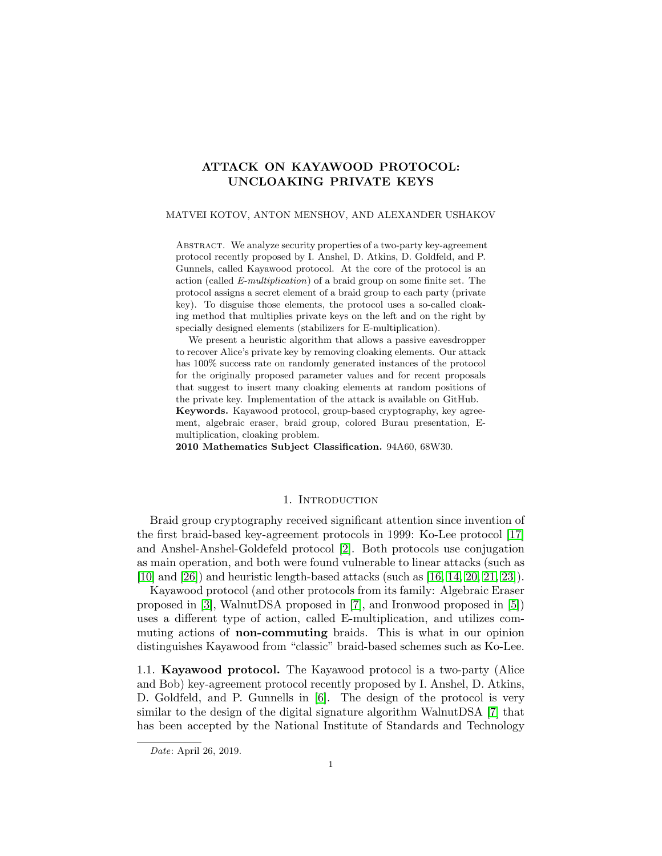# ATTACK ON KAYAWOOD PROTOCOL: UNCLOAKING PRIVATE KEYS

### MATVEI KOTOV, ANTON MENSHOV, AND ALEXANDER USHAKOV

ABSTRACT. We analyze security properties of a two-party key-agreement protocol recently proposed by I. Anshel, D. Atkins, D. Goldfeld, and P. Gunnels, called Kayawood protocol. At the core of the protocol is an action (called E-multiplication) of a braid group on some finite set. The protocol assigns a secret element of a braid group to each party (private key). To disguise those elements, the protocol uses a so-called cloaking method that multiplies private keys on the left and on the right by specially designed elements (stabilizers for E-multiplication).

We present a heuristic algorithm that allows a passive eavesdropper to recover Alice's private key by removing cloaking elements. Our attack has  $100\%$  success rate on randomly generated instances of the protocol for the originally proposed parameter values and for recent proposals that suggest to insert many cloaking elements at random positions of the private key. Implementation of the attack is available on GitHub.

Keywords. Kayawood protocol, group-based cryptography, key agreement, algebraic eraser, braid group, colored Burau presentation, Emultiplication, cloaking problem.

2010 Mathematics Subject Classification. 94A60, 68W30.

### 1. INTRODUCTION

Braid group cryptography received significant attention since invention of the first braid-based key-agreement protocols in 1999: Ko-Lee protocol [\[17\]](#page-14-0) and Anshel-Anshel-Goldefeld protocol [\[2\]](#page-13-0). Both protocols use conjugation as main operation, and both were found vulnerable to linear attacks (such as [\[10\]](#page-14-1) and [\[26\]](#page-15-0)) and heuristic length-based attacks (such as [\[16,](#page-14-2) [14,](#page-14-3) [20,](#page-14-4) [21,](#page-14-5) [23\]](#page-15-1)).

Kayawood protocol (and other protocols from its family: Algebraic Eraser proposed in [\[3\]](#page-13-1), WalnutDSA proposed in [\[7\]](#page-14-6), and Ironwood proposed in [\[5\]](#page-14-7)) uses a different type of action, called E-multiplication, and utilizes commuting actions of non-commuting braids. This is what in our opinion distinguishes Kayawood from "classic" braid-based schemes such as Ko-Lee.

1.1. Kayawood protocol. The Kayawood protocol is a two-party (Alice and Bob) key-agreement protocol recently proposed by I. Anshel, D. Atkins, D. Goldfeld, and P. Gunnells in [\[6\]](#page-14-8). The design of the protocol is very similar to the design of the digital signature algorithm WalnutDSA [\[7\]](#page-14-6) that has been accepted by the National Institute of Standards and Technology

Date: April 26, 2019.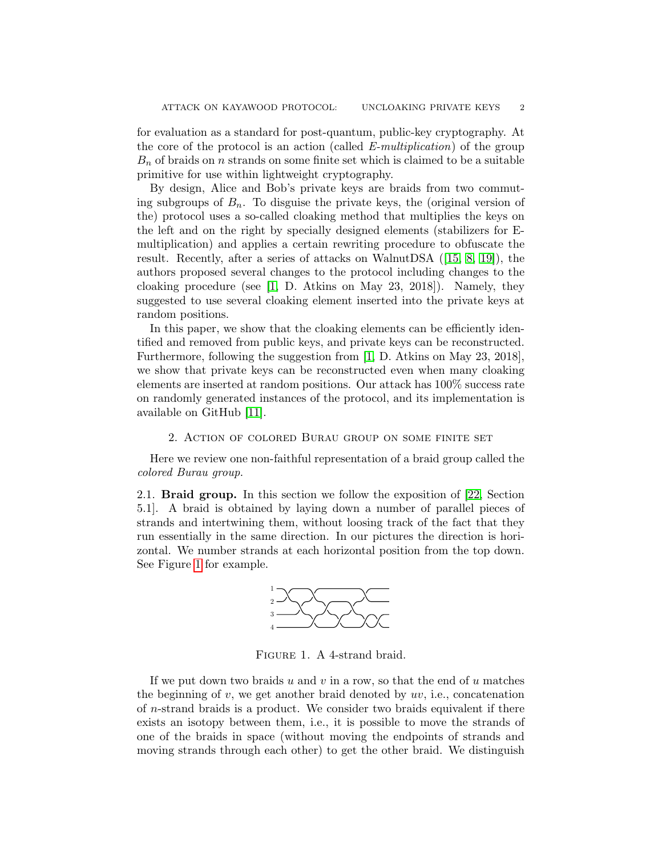for evaluation as a standard for post-quantum, public-key cryptography. At the core of the protocol is an action (called  $E\text{-}multiplication$ ) of the group  $B_n$  of braids on n strands on some finite set which is claimed to be a suitable primitive for use within lightweight cryptography.

By design, Alice and Bob's private keys are braids from two commuting subgroups of  $B_n$ . To disguise the private keys, the (original version of the) protocol uses a so-called cloaking method that multiplies the keys on the left and on the right by specially designed elements (stabilizers for Emultiplication) and applies a certain rewriting procedure to obfuscate the result. Recently, after a series of attacks on WalnutDSA ([\[15,](#page-14-9) [8,](#page-14-10) [19\]](#page-14-11)), the authors proposed several changes to the protocol including changes to the cloaking procedure (see [\[1,](#page-13-2) D. Atkins on May 23, 2018]). Namely, they suggested to use several cloaking element inserted into the private keys at random positions.

In this paper, we show that the cloaking elements can be efficiently identified and removed from public keys, and private keys can be reconstructed. Furthermore, following the suggestion from [\[1,](#page-13-2) D. Atkins on May 23, 2018], we show that private keys can be reconstructed even when many cloaking elements are inserted at random positions. Our attack has 100% success rate on randomly generated instances of the protocol, and its implementation is available on GitHub [\[11\]](#page-14-12).

#### 2. Action of colored Burau group on some finite set

Here we review one non-faithful representation of a braid group called the colored Burau group.

2.1. Braid group. In this section we follow the exposition of [\[22,](#page-14-13) Section 5.1]. A braid is obtained by laying down a number of parallel pieces of strands and intertwining them, without loosing track of the fact that they run essentially in the same direction. In our pictures the direction is horizontal. We number strands at each horizontal position from the top down. See Figure [1](#page-1-0) for example.

<span id="page-1-0"></span>

FIGURE 1. A 4-strand braid.

If we put down two braids  $u$  and  $v$  in a row, so that the end of  $u$  matches the beginning of  $v$ , we get another braid denoted by  $uv$ , i.e., concatenation of n-strand braids is a product. We consider two braids equivalent if there exists an isotopy between them, i.e., it is possible to move the strands of one of the braids in space (without moving the endpoints of strands and moving strands through each other) to get the other braid. We distinguish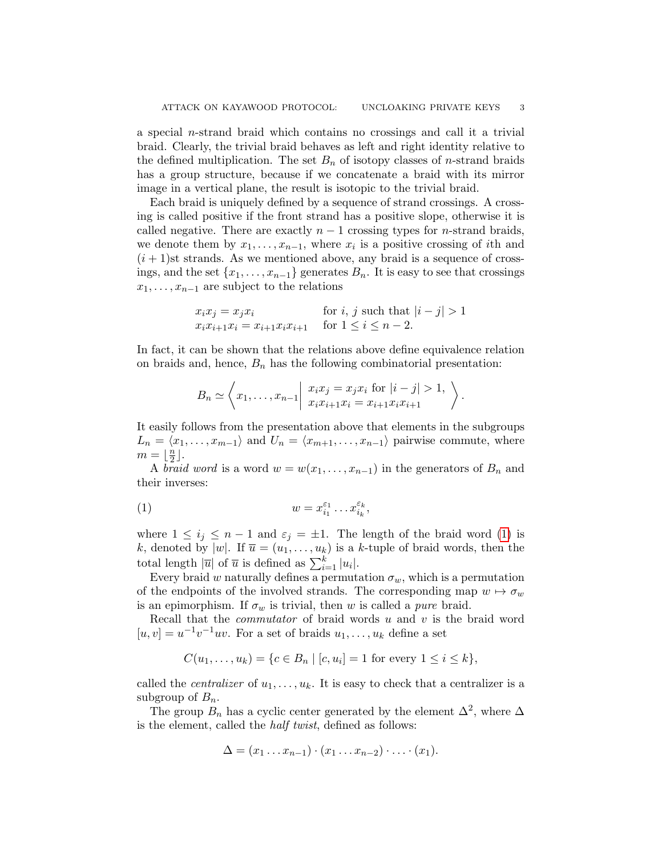a special  $n$ -strand braid which contains no crossings and call it a trivial braid. Clearly, the trivial braid behaves as left and right identity relative to the defined multiplication. The set  $B_n$  of isotopy classes of *n*-strand braids has a group structure, because if we concatenate a braid with its mirror image in a vertical plane, the result is isotopic to the trivial braid.

Each braid is uniquely defined by a sequence of strand crossings. A crossing is called positive if the front strand has a positive slope, otherwise it is called negative. There are exactly  $n-1$  crossing types for *n*-strand braids, we denote them by  $x_1, \ldots, x_{n-1}$ , where  $x_i$  is a positive crossing of *i*th and  $(i+1)$ st strands. As we mentioned above, any braid is a sequence of crossings, and the set  $\{x_1, \ldots, x_{n-1}\}$  generates  $B_n$ . It is easy to see that crossings  $x_1, \ldots, x_{n-1}$  are subject to the relations

$$
x_i x_j = x_j x_i
$$
 for  $i, j$  such that  $|i - j| > 1$   

$$
x_i x_{i+1} x_i = x_{i+1} x_i x_{i+1}
$$
 for  $1 \le i \le n - 2$ .

In fact, it can be shown that the relations above define equivalence relation on braids and, hence,  $B_n$  has the following combinatorial presentation:

<span id="page-2-0"></span>
$$
B_n \simeq \left\langle x_1, \ldots, x_{n-1} \middle| \begin{array}{c} x_i x_j = x_j x_i \text{ for } |i-j| > 1, \\ x_i x_{i+1} x_i = x_{i+1} x_i x_{i+1} \end{array} \right\rangle.
$$

It easily follows from the presentation above that elements in the subgroups  $L_n = \langle x_1, \ldots, x_{m-1} \rangle$  and  $U_n = \langle x_{m+1}, \ldots, x_{n-1} \rangle$  pairwise commute, where  $m = \frac{n}{2}$  $\frac{n}{2}$ ].

A *braid word* is a word  $w = w(x_1, \ldots, x_{n-1})$  in the generators of  $B_n$  and their inverses:

(1) 
$$
w = x_{i_1}^{\varepsilon_1} \dots x_{i_k}^{\varepsilon_k},
$$

where  $1 \leq i_j \leq n-1$  and  $\varepsilon_j = \pm 1$ . The length of the braid word [\(1\)](#page-2-0) is k, denoted by  $|w|$ . If  $\overline{u} = (u_1, \ldots, u_k)$  is a k-tuple of braid words, then the total length  $|\overline{u}|$  of  $\overline{u}$  is defined as  $\sum_{i=1}^{k} |u_i|$ .

Every braid w naturally defines a permutation  $\sigma_w$ , which is a permutation of the endpoints of the involved strands. The corresponding map  $w \mapsto \sigma_w$ is an epimorphism. If  $\sigma_w$  is trivial, then w is called a *pure* braid.

Recall that the *commutator* of braid words  $u$  and  $v$  is the braid word  $[u, v] = u^{-1}v^{-1}uv$ . For a set of braids  $u_1, \ldots, u_k$  define a set

$$
C(u_1, \ldots, u_k) = \{c \in B_n \mid [c, u_i] = 1 \text{ for every } 1 \le i \le k\},\
$$

called the *centralizer* of  $u_1, \ldots, u_k$ . It is easy to check that a centralizer is a subgroup of  $B_n$ .

The group  $B_n$  has a cyclic center generated by the element  $\Delta^2$ , where  $\Delta$ is the element, called the half twist, defined as follows:

$$
\Delta = (x_1 \ldots x_{n-1}) \cdot (x_1 \ldots x_{n-2}) \cdot \ldots \cdot (x_1).
$$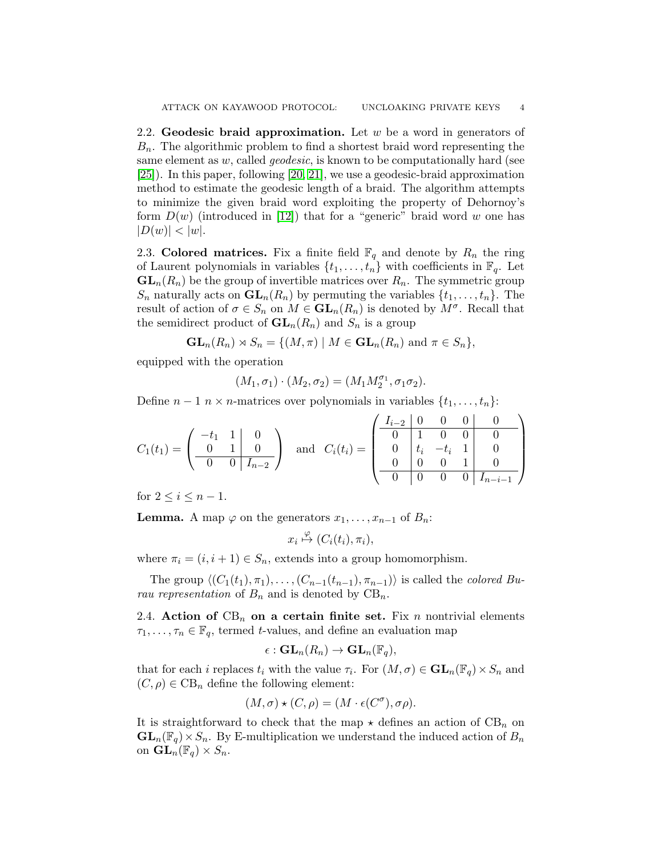2.2. Geodesic braid approximation. Let  $w$  be a word in generators of  $B_n$ . The algorithmic problem to find a shortest braid word representing the same element as  $w$ , called *geodesic*, is known to be computationally hard (see [\[25\]](#page-15-2)). In this paper, following [\[20,](#page-14-4) [21\]](#page-14-5), we use a geodesic-braid approximation method to estimate the geodesic length of a braid. The algorithm attempts to minimize the given braid word exploiting the property of Dehornoy's form  $D(w)$  (introduced in [\[12\]](#page-14-14)) that for a "generic" braid word w one has  $|D(w)| < |w|$ .

2.3. Colored matrices. Fix a finite field  $\mathbb{F}_q$  and denote by  $R_n$  the ring of Laurent polynomials in variables  $\{t_1, \ldots, t_n\}$  with coefficients in  $\mathbb{F}_q$ . Let  $GL_n(R_n)$  be the group of invertible matrices over  $R_n$ . The symmetric group  $S_n$  naturally acts on  $\mathbf{GL}_n(R_n)$  by permuting the variables  $\{t_1, \ldots, t_n\}$ . The result of action of  $\sigma \in S_n$  on  $M \in GL_n(R_n)$  is denoted by  $M^{\sigma}$ . Recall that the semidirect product of  $\mathbf{GL}_n(R_n)$  and  $S_n$  is a group

$$
\mathbf{GL}_n(R_n) \rtimes S_n = \{ (M, \pi) \mid M \in \mathbf{GL}_n(R_n) \text{ and } \pi \in S_n \},
$$

equipped with the operation

$$
(M_1,\sigma_1)\cdot (M_2,\sigma_2)=(M_1M_2^{\sigma_1},\sigma_1\sigma_2).
$$

Define  $n-1$  n × n-matrices over polynomials in variables  $\{t_1, \ldots, t_n\}$ :

$$
C_1(t_1) = \begin{pmatrix} -t_1 & 1 & 0 \\ 0 & 1 & 0 \\ \hline 0 & 0 & I_{n-2} \end{pmatrix} \text{ and } C_i(t_i) = \begin{pmatrix} I_{i-2} & 0 & 0 & 0 & 0 \\ 0 & 1 & 0 & 0 & 0 \\ 0 & t_i & -t_i & 1 & 0 \\ \hline 0 & 0 & 0 & 1 & 0 \\ \hline 0 & 0 & 0 & 0 & I_{n-i-1} \end{pmatrix}
$$

for  $2 \leq i \leq n-1$ .

**Lemma.** A map  $\varphi$  on the generators  $x_1, \ldots, x_{n-1}$  of  $B_n$ :

$$
x_i \overset{\varphi}{\mapsto} (C_i(t_i), \pi_i),
$$

where  $\pi_i = (i, i + 1) \in S_n$ , extends into a group homomorphism.

The group  $\langle (C_1(t_1), \pi_1), \ldots, (C_{n-1}(t_{n-1}), \pi_{n-1})\rangle$  is called the *colored Bu*rau representation of  $B_n$  and is denoted by  $CB_n$ .

<span id="page-3-0"></span>2.4. Action of  $CB_n$  on a certain finite set. Fix n nontrivial elements  $\tau_1, \ldots, \tau_n \in \mathbb{F}_q$ , termed t-values, and define an evaluation map

$$
\epsilon: \mathbf{GL}_n(R_n) \to \mathbf{GL}_n(\mathbb{F}_q),
$$

that for each *i* replaces  $t_i$  with the value  $\tau_i$ . For  $(M, \sigma) \in \mathbf{GL}_n(\mathbb{F}_q) \times S_n$  and  $(C, \rho) \in \mathrm{CB}_n$  define the following element:

$$
(M, \sigma) \star (C, \rho) = (M \cdot \epsilon(C^{\sigma}), \sigma \rho).
$$

It is straightforward to check that the map  $\star$  defines an action of  $CB_n$  on  $GL_n(\mathbb{F}_q)\times S_n$ . By E-multiplication we understand the induced action of  $B_n$ on  $\mathbf{GL}_n(\mathbb{F}_q)\times S_n$ .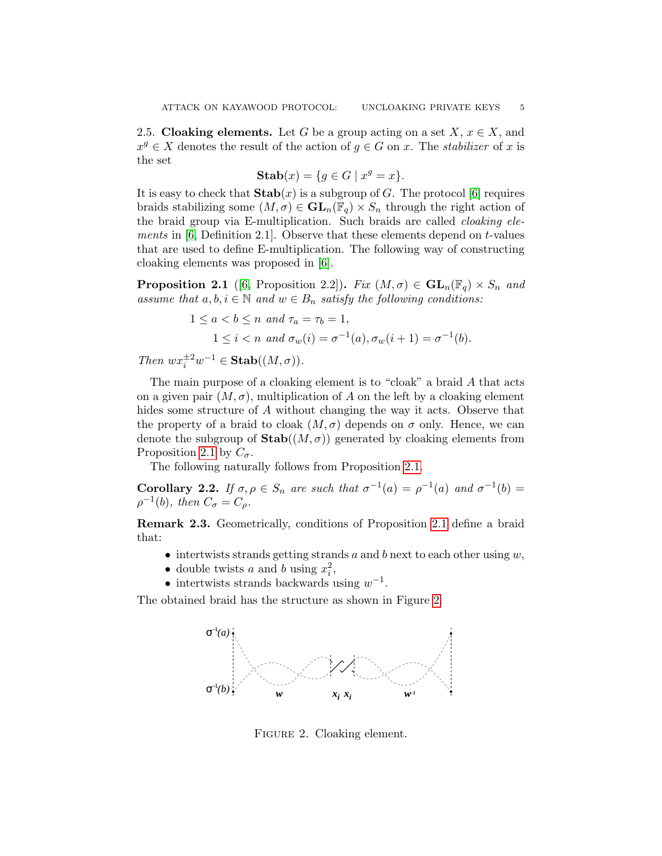2.5. Cloaking elements. Let G be a group acting on a set  $X, x \in X$ , and  $x^g \in X$  denotes the result of the action of  $g \in G$  on x. The *stabilizer* of x is the set

$$
\mathbf{Stab}(x) = \{ g \in G \mid x^g = x \}.
$$

It is easy to check that  $\text{Stab}(x)$  is a subgroup of G. The protocol [\[6\]](#page-14-8) requires braids stabilizing some  $(M, \sigma) \in GL_n(\mathbb{F}_q) \times S_n$  through the right action of the braid group via E-multiplication. Such braids are called cloaking elements in  $[6,$  Definition 2.1]. Observe that these elements depend on t-values that are used to define E-multiplication. The following way of constructing cloaking elements was proposed in [\[6\]](#page-14-8).

<span id="page-4-0"></span>**Proposition 2.1** ([\[6,](#page-14-8) Proposition 2.2]). Fix  $(M, \sigma) \in GL_n(\mathbb{F}_q) \times S_n$  and assume that  $a, b, i \in \mathbb{N}$  and  $w \in B_n$  satisfy the following conditions:

$$
1 \le a < b \le n \text{ and } \tau_a = \tau_b = 1,
$$
\n
$$
1 \le i < n \text{ and } \sigma_w(i) = \sigma^{-1}(a), \sigma_w(i+1) = \sigma^{-1}(b).
$$

Then  $wx_i^{\pm 2}w^{-1} \in \text{Stab}((M,\sigma)).$ 

The main purpose of a cloaking element is to "cloak" a braid A that acts on a given pair  $(M, \sigma)$ , multiplication of A on the left by a cloaking element hides some structure of A without changing the way it acts. Observe that the property of a braid to cloak  $(M, \sigma)$  depends on  $\sigma$  only. Hence, we can denote the subgroup of  $\text{Stab}((M, \sigma))$  generated by cloaking elements from Proposition [2.1](#page-4-0) by  $C_{\sigma}$ .

The following naturally follows from Proposition [2.1.](#page-4-0)

<span id="page-4-3"></span>**Corollary 2.2.** If  $\sigma, \rho \in S_n$  are such that  $\sigma^{-1}(a) = \rho^{-1}(a)$  and  $\sigma^{-1}(b) =$  $\rho^{-1}(b)$ , then  $C_{\sigma} = C_{\rho}$ .

<span id="page-4-2"></span>Remark 2.3. Geometrically, conditions of Proposition [2.1](#page-4-0) define a braid that:

- intertwists strands getting strands  $a$  and  $b$  next to each other using  $w$ ,
- double twists a and b using  $x_i^2$ ,
- intertwists strands backwards using  $w^{-1}$ .

The obtained braid has the structure as shown in Figure [2.](#page-4-1)



<span id="page-4-1"></span>FIGURE 2. Cloaking element.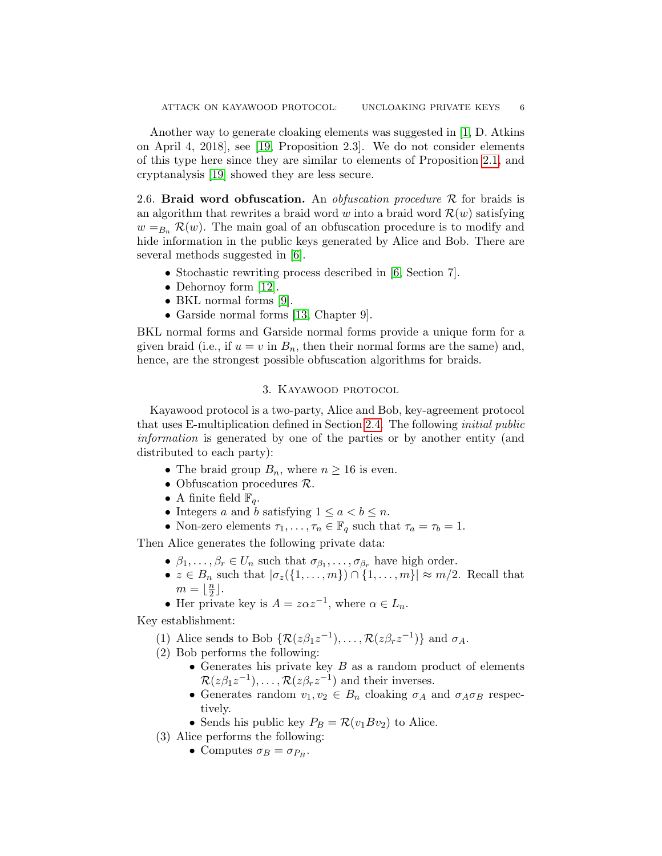Another way to generate cloaking elements was suggested in [\[1,](#page-13-2) D. Atkins on April 4, 2018], see [\[19,](#page-14-11) Proposition 2.3]. We do not consider elements of this type here since they are similar to elements of Proposition [2.1,](#page-4-0) and cryptanalysis [\[19\]](#page-14-11) showed they are less secure.

2.6. Braid word obfuscation. An *obfuscation procedure*  $\mathcal R$  for braids is an algorithm that rewrites a braid word w into a braid word  $\mathcal{R}(w)$  satisfying  $w =_{B_n} \mathcal{R}(w)$ . The main goal of an obfuscation procedure is to modify and hide information in the public keys generated by Alice and Bob. There are several methods suggested in [\[6\]](#page-14-8).

- Stochastic rewriting process described in [\[6,](#page-14-8) Section 7].
- Dehornoy form [\[12\]](#page-14-14).
- BKL normal forms [\[9\]](#page-14-15).
- Garside normal forms [\[13,](#page-14-16) Chapter 9].

BKL normal forms and Garside normal forms provide a unique form for a given braid (i.e., if  $u = v$  in  $B_n$ , then their normal forms are the same) and, hence, are the strongest possible obfuscation algorithms for braids.

### 3. Kayawood protocol

<span id="page-5-0"></span>Kayawood protocol is a two-party, Alice and Bob, key-agreement protocol that uses E-multiplication defined in Section [2.4.](#page-3-0) The following initial public information is generated by one of the parties or by another entity (and distributed to each party):

- The braid group  $B_n$ , where  $n \geq 16$  is even.
- Obfuscation procedures  $\mathcal{R}$ .
- A finite field  $\mathbb{F}_q$ .
- Integers a and b satisfying  $1 \leq a < b \leq n$ .
- Non-zero elements  $\tau_1, \ldots, \tau_n \in \mathbb{F}_q$  such that  $\tau_a = \tau_b = 1$ .

Then Alice generates the following private data:

- $\beta_1, \ldots, \beta_r \in U_n$  such that  $\sigma_{\beta_1}, \ldots, \sigma_{\beta_r}$  have high order.
- $z \in B_n$  such that  $|\sigma_z(\{1, \ldots, m\}) \cap \{1, \ldots, m\}| \approx m/2$ . Recall that  $m = \frac{n}{2}$  $\frac{n}{2}$ ].
- Her private key is  $A = z\alpha z^{-1}$ , where  $\alpha \in L_n$ .

Key establishment:

- (1) Alice sends to Bob  $\{ \mathcal{R}(z\beta_1 z^{-1}), \ldots, \mathcal{R}(z\beta_r z^{-1}) \}$  and  $\sigma_A$ .
- (2) Bob performs the following:
	- Generates his private key  $B$  as a random product of elements  $\mathcal{R}(z\beta_1 z^{-1}), \ldots, \mathcal{R}(z\beta_r z^{-1})$  and their inverses.
	- Generates random  $v_1, v_2 \in B_n$  cloaking  $\sigma_A$  and  $\sigma_A \sigma_B$  respectively.
	- Sends his public key  $P_B = \mathcal{R}(v_1 B v_2)$  to Alice.
- (3) Alice performs the following:
	- Computes  $\sigma_B = \sigma_{P_B}$ .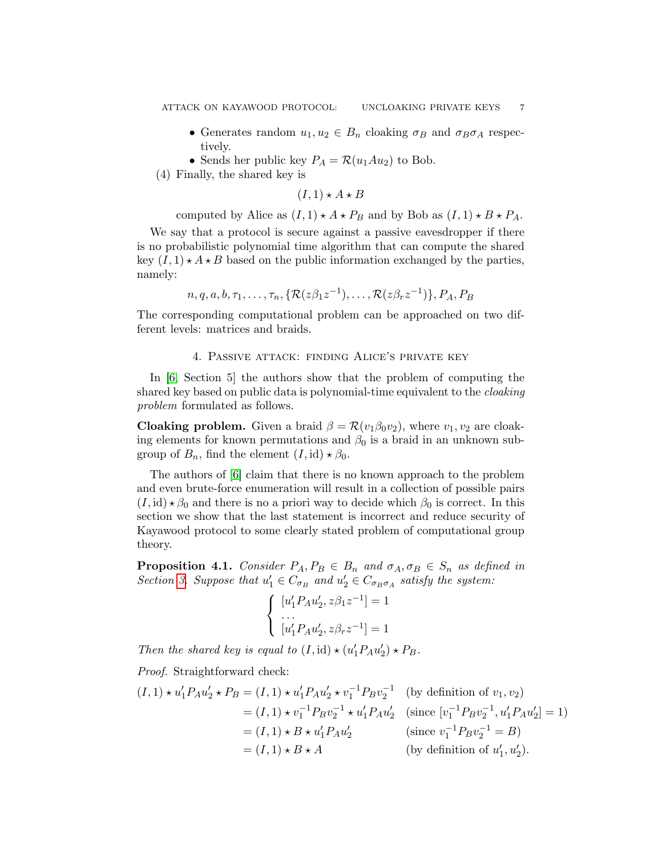- Generates random  $u_1, u_2 \in B_n$  cloaking  $\sigma_B$  and  $\sigma_B \sigma_A$  respectively.
- Sends her public key  $P_A = \mathcal{R}(u_1Au_2)$  to Bob.
- (4) Finally, the shared key is

$$
(I,1)\star A\star B
$$

computed by Alice as  $(I, 1) \star A \star P_B$  and by Bob as  $(I, 1) \star B \star P_A$ .

We say that a protocol is secure against a passive eavesdropper if there is no probabilistic polynomial time algorithm that can compute the shared key  $(I, 1) \star A \star B$  based on the public information exchanged by the parties, namely:

$$
n, q, a, b, \tau_1, \ldots, \tau_n, \{ \mathcal{R}(z\beta_1 z^{-1}), \ldots, \mathcal{R}(z\beta_r z^{-1}) \}, P_A, P_B
$$

The corresponding computational problem can be approached on two different levels: matrices and braids.

### 4. Passive attack: finding Alice's private key

In [\[6,](#page-14-8) Section 5] the authors show that the problem of computing the shared key based on public data is polynomial-time equivalent to the cloaking problem formulated as follows.

**Cloaking problem.** Given a braid  $\beta = \mathcal{R}(v_1\beta_0v_2)$ , where  $v_1, v_2$  are cloaking elements for known permutations and  $\beta_0$  is a braid in an unknown subgroup of  $B_n$ , find the element  $(I, id) \star \beta_0$ .

The authors of [\[6\]](#page-14-8) claim that there is no known approach to the problem and even brute-force enumeration will result in a collection of possible pairs  $(I, id) \star \beta_0$  and there is no a priori way to decide which  $\beta_0$  is correct. In this section we show that the last statement is incorrect and reduce security of Kayawood protocol to some clearly stated problem of computational group theory.

<span id="page-6-0"></span>**Proposition 4.1.** Consider  $P_A, P_B \in B_n$  and  $\sigma_A, \sigma_B \in S_n$  as defined in Section [3.](#page-5-0) Suppose that  $u'_1 \in C_{\sigma_B}$  and  $u'_2 \in C_{\sigma_B \sigma_A}$  satisfy the system:

$$
\begin{cases}\n[u'_1 P_A u'_2, z\beta_1 z^{-1}] = 1 \\
\cdots \\
[u'_1 P_A u'_2, z\beta_r z^{-1}] = 1\n\end{cases}
$$

Then the shared key is equal to  $(I, id) \star (u_1' P_A u_2') \star P_B$ .

Proof. Straightforward check:

$$
(I,1) \star u'_1 P_A u'_2 \star P_B = (I,1) \star u'_1 P_A u'_2 \star v_1^{-1} P_B v_2^{-1} \quad \text{(by definition of } v_1, v_2)
$$
  
=  $(I,1) \star v_1^{-1} P_B v_2^{-1} \star u'_1 P_A u'_2 \quad \text{(since } [v_1^{-1} P_B v_2^{-1}, u'_1 P_A u'_2] = 1)$   
=  $(I,1) \star B \star u'_1 P_A u'_2 \quad \text{(since } v_1^{-1} P_B v_2^{-1} = B)$   
=  $(I,1) \star B \star A \quad \text{(by definition of } u'_1, u'_2).$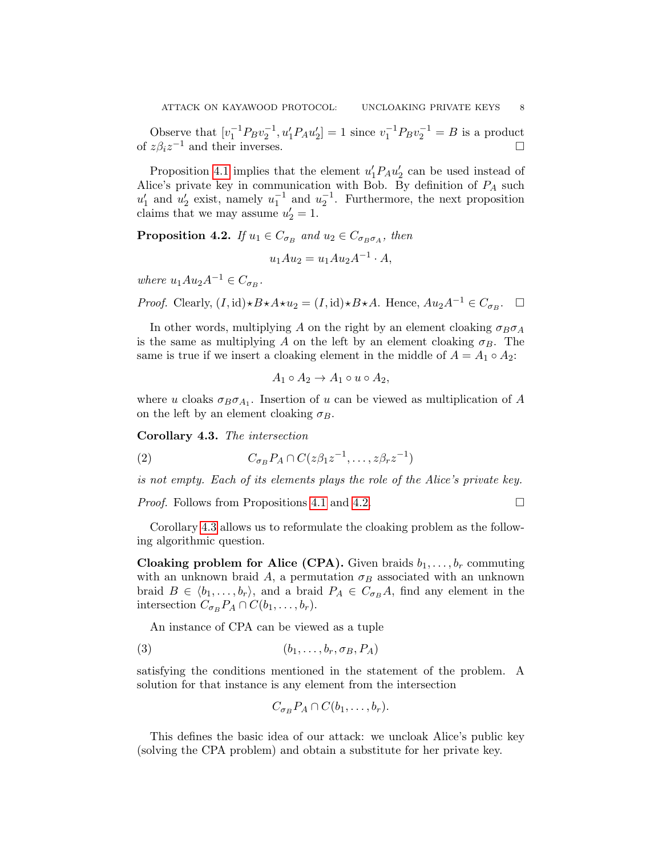Observe that  $[v_1^{-1}P_Bv_2^{-1}, u_1'P_Au_2'] = 1$  since  $v_1^{-1}P_Bv_2^{-1} = B$  is a product of  $z\beta_i z^{-1}$  and their inverses.  $\square$ 

Proposition [4.1](#page-6-0) implies that the element  $u_1'P_Au_2'$  can be used instead of Alice's private key in communication with Bob. By definition of  $P_A$  such  $u'_1$  and  $u'_2$  exist, namely  $u_1^{-1}$  and  $u_2^{-1}$ . Furthermore, the next proposition claims that we may assume  $u'_2 = 1$ .

<span id="page-7-0"></span>**Proposition 4.2.** If  $u_1 \in C_{\sigma_B}$  and  $u_2 \in C_{\sigma_B \sigma_A}$ , then

$$
u_1 A u_2 = u_1 A u_2 A^{-1} \cdot A,
$$

where  $u_1Au_2A^{-1} \in C_{\sigma_B}$ .

*Proof.* Clearly,  $(I, id) \star B \star A \star u_2 = (I, id) \star B \star A$ . Hence,  $Au_2A^{-1} \in C_{\sigma_B}$ .  $\Box$ 

In other words, multiplying A on the right by an element cloaking  $\sigma_B \sigma_A$ is the same as multiplying A on the left by an element cloaking  $\sigma_B$ . The same is true if we insert a cloaking element in the middle of  $A = A_1 \circ A_2$ :

$$
A_1 \circ A_2 \to A_1 \circ u \circ A_2,
$$

where u cloaks  $\sigma_B \sigma_{A_1}$ . Insertion of u can be viewed as multiplication of A on the left by an element cloaking  $\sigma_B$ .

<span id="page-7-1"></span>Corollary 4.3. The intersection

(2) 
$$
C_{\sigma_B} P_A \cap C(z\beta_1 z^{-1}, \dots, z\beta_r z^{-1})
$$

is not empty. Each of its elements plays the role of the Alice's private key.

*Proof.* Follows from Propositions [4.1](#page-6-0) and [4.2.](#page-7-0)

Corollary [4.3](#page-7-1) allows us to reformulate the cloaking problem as the following algorithmic question.

**Cloaking problem for Alice (CPA).** Given braids  $b_1, \ldots, b_r$  commuting with an unknown braid A, a permutation  $\sigma_B$  associated with an unknown braid  $B \in \langle b_1, \ldots, b_r \rangle$ , and a braid  $P_A \in C_{\sigma_B}A$ , find any element in the intersection  $C_{\sigma_B} P_A \cap C(b_1,\ldots,b_r)$ .

An instance of CPA can be viewed as a tuple

$$
(3) \qquad (b_1, \ldots, b_r, \sigma_B, P_A)
$$

satisfying the conditions mentioned in the statement of the problem. A solution for that instance is any element from the intersection

<span id="page-7-2"></span>
$$
C_{\sigma_B}P_A \cap C(b_1,\ldots,b_r).
$$

This defines the basic idea of our attack: we uncloak Alice's public key (solving the CPA problem) and obtain a substitute for her private key.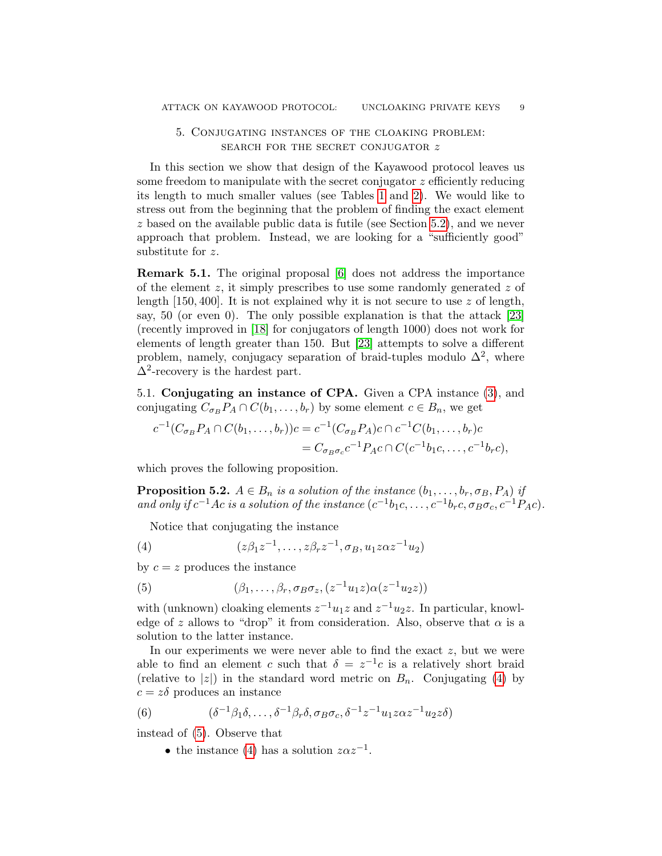# 5. Conjugating instances of the cloaking problem: search for the secret conjugator z

In this section we show that design of the Kayawood protocol leaves us some freedom to manipulate with the secret conjugator  $z$  efficiently reducing its length to much smaller values (see Tables [1](#page-12-0) and [2\)](#page-12-1). We would like to stress out from the beginning that the problem of finding the exact element z based on the available public data is futile (see Section [5.2\)](#page-9-0), and we never approach that problem. Instead, we are looking for a "sufficiently good" substitute for z.

Remark 5.1. The original proposal [\[6\]](#page-14-8) does not address the importance of the element z, it simply prescribes to use some randomly generated z of length  $[150, 400]$ . It is not explained why it is not secure to use z of length, say, 50 (or even 0). The only possible explanation is that the attack [\[23\]](#page-15-1) (recently improved in [\[18\]](#page-14-17) for conjugators of length 1000) does not work for elements of length greater than 150. But [\[23\]](#page-15-1) attempts to solve a different problem, namely, conjugacy separation of braid-tuples modulo  $\Delta^2$ , where  $\Delta^2$ -recovery is the hardest part.

5.1. Conjugating an instance of CPA. Given a CPA instance [\(3\)](#page-7-2), and conjugating  $C_{\sigma_B} P_A \cap C(b_1,\ldots,b_r)$  by some element  $c \in B_n$ , we get

$$
c^{-1}(C_{\sigma_B}P_A \cap C(b_1,\ldots,b_r))c = c^{-1}(C_{\sigma_B}P_A)c \cap c^{-1}C(b_1,\ldots,b_r)c
$$
  
=  $C_{\sigma_B\sigma_c}c^{-1}P_Ac \cap C(c^{-1}b_1c,\ldots,c^{-1}b_rc),$ 

which proves the following proposition.

**Proposition 5.2.**  $A \in B_n$  is a solution of the instance  $(b_1, \ldots, b_r, \sigma_B, P_A)$  if and only if  $c^{-1}Ac$  is a solution of the instance  $(c^{-1}b_1c,\ldots,c^{-1}b_rc,\sigma_B\sigma_c,c^{-1}P_Ac)$ .

<span id="page-8-0"></span>Notice that conjugating the instance

(4) 
$$
(z\beta_1 z^{-1}, \dots, z\beta_r z^{-1}, \sigma_B, u_1 z\alpha z^{-1} u_2)
$$

by  $c = z$  produces the instance

<span id="page-8-1"></span>(5) 
$$
(\beta_1,\ldots,\beta_r,\sigma_B\sigma_z,(z^{-1}u_1z)\alpha(z^{-1}u_2z))
$$

with (unknown) cloaking elements  $z^{-1}u_1z$  and  $z^{-1}u_2z$ . In particular, knowledge of z allows to "drop" it from consideration. Also, observe that  $\alpha$  is a solution to the latter instance.

In our experiments we were never able to find the exact  $z$ , but we were able to find an element c such that  $\delta = z^{-1}c$  is a relatively short braid (relative to |z|) in the standard word metric on  $B_n$ . Conjugating [\(4\)](#page-8-0) by  $c = z\delta$  produces an instance

(6) 
$$
(\delta^{-1}\beta_1\delta,\ldots,\delta^{-1}\beta_r\delta,\sigma_B\sigma_c,\delta^{-1}z^{-1}u_1z\alpha z^{-1}u_2z\delta)
$$

instead of [\(5\)](#page-8-1). Observe that

<span id="page-8-2"></span>• the instance [\(4\)](#page-8-0) has a solution  $z\alpha z^{-1}$ .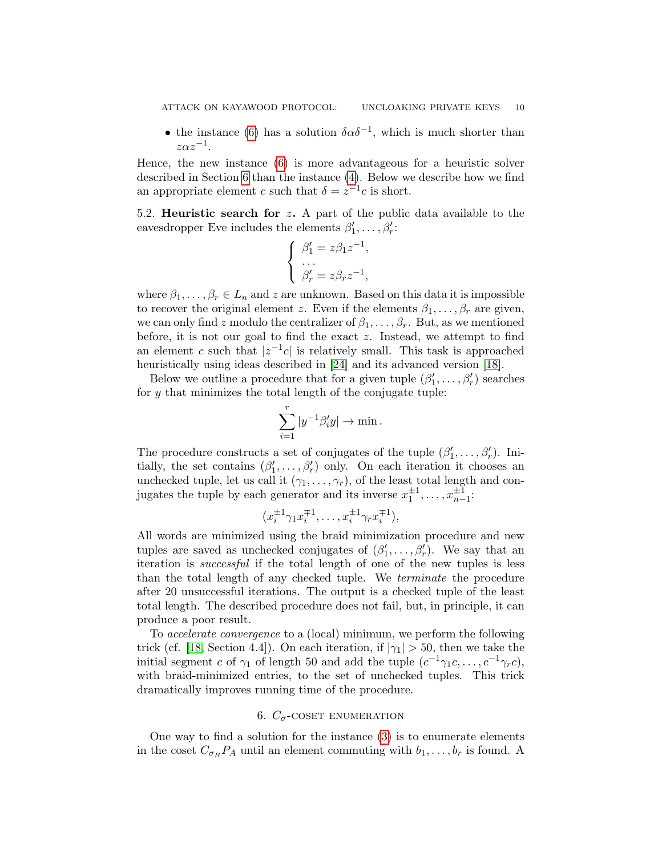• the instance [\(6\)](#page-8-2) has a solution  $\delta \alpha \delta^{-1}$ , which is much shorter than  $z\alpha z^{-1}$ .

Hence, the new instance [\(6\)](#page-8-2) is more advantageous for a heuristic solver described in Section [6](#page-9-1) than the instance [\(4\)](#page-8-0). Below we describe how we find an appropriate element c such that  $\delta = z^{-1}c$  is short.

<span id="page-9-0"></span>5.2. **Heuristic search for z.** A part of the public data available to the eavesdropper Eve includes the elements  $\beta'_1, \ldots, \beta'_r$ :

$$
\begin{cases}\n\beta_1' = z\beta_1 z^{-1}, \\
\dots \\
\beta_r' = z\beta_r z^{-1},\n\end{cases}
$$

where  $\beta_1, \ldots, \beta_r \in L_n$  and z are unknown. Based on this data it is impossible to recover the original element z. Even if the elements  $\beta_1, \ldots, \beta_r$  are given, we can only find z modulo the centralizer of  $\beta_1, \ldots, \beta_r$ . But, as we mentioned before, it is not our goal to find the exact  $z$ . Instead, we attempt to find an element c such that  $|z^{-1}c|$  is relatively small. This task is approached heuristically using ideas described in [\[24\]](#page-15-3) and its advanced version [\[18\]](#page-14-17).

Below we outline a procedure that for a given tuple  $(\beta'_1, \ldots, \beta'_r)$  searches for  $y$  that minimizes the total length of the conjugate tuple:

$$
\sum_{i=1}^r |y^{-1}\beta_i'y| \to \min.
$$

The procedure constructs a set of conjugates of the tuple  $(\beta'_1, \ldots, \beta'_r)$ . Initially, the set contains  $(\beta'_1, \ldots, \beta'_r)$  only. On each iteration it chooses an unchecked tuple, let us call it  $(\gamma_1, \ldots, \gamma_r)$ , of the least total length and conjugates the tuple by each generator and its inverse  $x_1^{\pm 1}, \ldots, x_{n-1}^{\pm 1}$ .

$$
(x_i^{\pm 1}\gamma_1 x_i^{\mp 1}, \dots, x_i^{\pm 1}\gamma_r x_i^{\mp 1}),
$$

All words are minimized using the braid minimization procedure and new tuples are saved as unchecked conjugates of  $(\beta'_1, \ldots, \beta'_r)$ . We say that an iteration is successful if the total length of one of the new tuples is less than the total length of any checked tuple. We terminate the procedure after 20 unsuccessful iterations. The output is a checked tuple of the least total length. The described procedure does not fail, but, in principle, it can produce a poor result.

To accelerate convergence to a (local) minimum, we perform the following trick (cf. [\[18,](#page-14-17) Section 4.4]). On each iteration, if  $|\gamma_1| > 50$ , then we take the initial segment c of  $\gamma_1$  of length 50 and add the tuple  $(c^{-1}\gamma_1 c, \ldots, c^{-1}\gamma_r c)$ , with braid-minimized entries, to the set of unchecked tuples. This trick dramatically improves running time of the procedure.

## 6.  $C_{\sigma}$ -COSET ENUMERATION

<span id="page-9-1"></span>One way to find a solution for the instance [\(3\)](#page-7-2) is to enumerate elements in the coset  $C_{\sigma_B} P_A$  until an element commuting with  $b_1, \ldots, b_r$  is found. A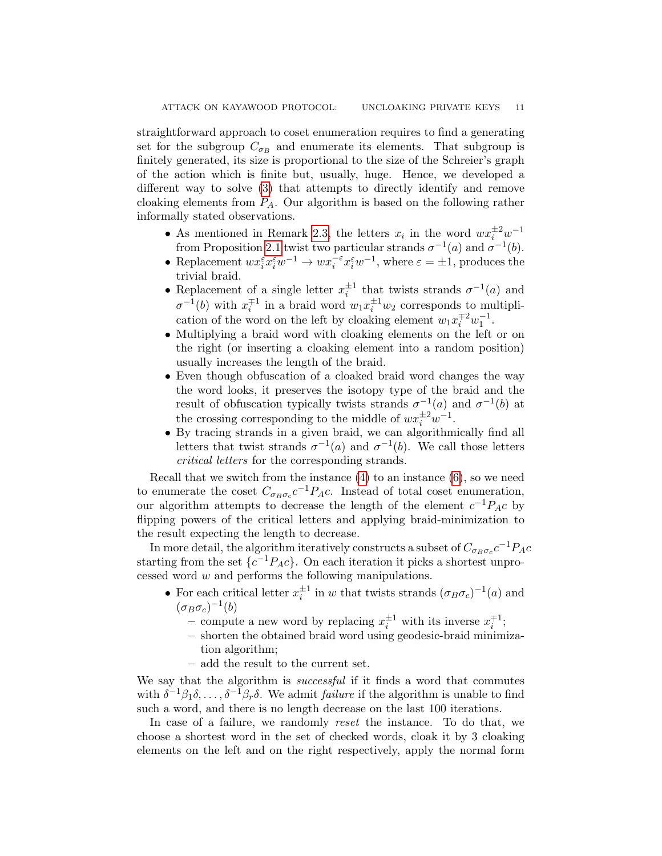straightforward approach to coset enumeration requires to find a generating set for the subgroup  $C_{\sigma_B}$  and enumerate its elements. That subgroup is finitely generated, its size is proportional to the size of the Schreier's graph of the action which is finite but, usually, huge. Hence, we developed a different way to solve [\(3\)](#page-7-2) that attempts to directly identify and remove cloaking elements from  $P_A$ . Our algorithm is based on the following rather informally stated observations.

- As mentioned in Remark [2.3,](#page-4-2) the letters  $x_i$  in the word  $wx_i^{\pm 2}w^{-1}$ from Proposition [2.1](#page-4-0) twist two particular strands  $\sigma^{-1}(a)$  and  $\sigma^{-1}(b)$ .
- Replacement  $wx_i^{\varepsilon} x_i^{\varepsilon} w^{-1} \to wx_i^{-\varepsilon} x_i^{\varepsilon} w^{-1}$ , where  $\varepsilon = \pm 1$ , produces the trivial braid.
- Replacement of a single letter  $x_i^{\pm 1}$  that twists strands  $\sigma^{-1}(a)$  and  $\sigma^{-1}(b)$  with  $x_i^{\pm 1}$  in a braid word  $w_1 x_i^{\pm 1} w_2$  corresponds to multiplication of the word on the left by cloaking element  $w_1 x_i^{\mp 2} w_1^{-1}$ .
- Multiplying a braid word with cloaking elements on the left or on the right (or inserting a cloaking element into a random position) usually increases the length of the braid.
- Even though obfuscation of a cloaked braid word changes the way the word looks, it preserves the isotopy type of the braid and the result of obfuscation typically twists strands  $\sigma^{-1}(a)$  and  $\sigma^{-1}(b)$  at the crossing corresponding to the middle of  $wx_i^{\pm 2}w^{-1}$ .
- By tracing strands in a given braid, we can algorithmically find all letters that twist strands  $\sigma^{-1}(a)$  and  $\sigma^{-1}(b)$ . We call those letters critical letters for the corresponding strands.

Recall that we switch from the instance  $(4)$  to an instance  $(6)$ , so we need to enumerate the coset  $C_{\sigma_B \sigma_c} c^{-1} P_A c$ . Instead of total coset enumeration, our algorithm attempts to decrease the length of the element  $c^{-1}P_{A}c$  by flipping powers of the critical letters and applying braid-minimization to the result expecting the length to decrease.

In more detail, the algorithm iteratively constructs a subset of  $C_{\sigma_B\sigma_c}c^{-1}P_Ac$ starting from the set  $\{c^{-1}P_Ac\}$ . On each iteration it picks a shortest unprocessed word  $w$  and performs the following manipulations.

- For each critical letter  $x_i^{\pm 1}$  in w that twists strands  $(\sigma_B \sigma_c)^{-1}(a)$  and  $(\sigma_B \sigma_c)^{-1}(b)$ 
	- compute a new word by replacing  $x_i^{\pm 1}$  with its inverse  $x_i^{\mp 1}$ ;
	- shorten the obtained braid word using geodesic-braid minimization algorithm;
	- add the result to the current set.

We say that the algorithm is *successful* if it finds a word that commutes with  $\delta^{-1}\beta_1\delta,\ldots,\delta^{-1}\beta_r\delta$ . We admit *failure* if the algorithm is unable to find such a word, and there is no length decrease on the last 100 iterations.

In case of a failure, we randomly reset the instance. To do that, we choose a shortest word in the set of checked words, cloak it by 3 cloaking elements on the left and on the right respectively, apply the normal form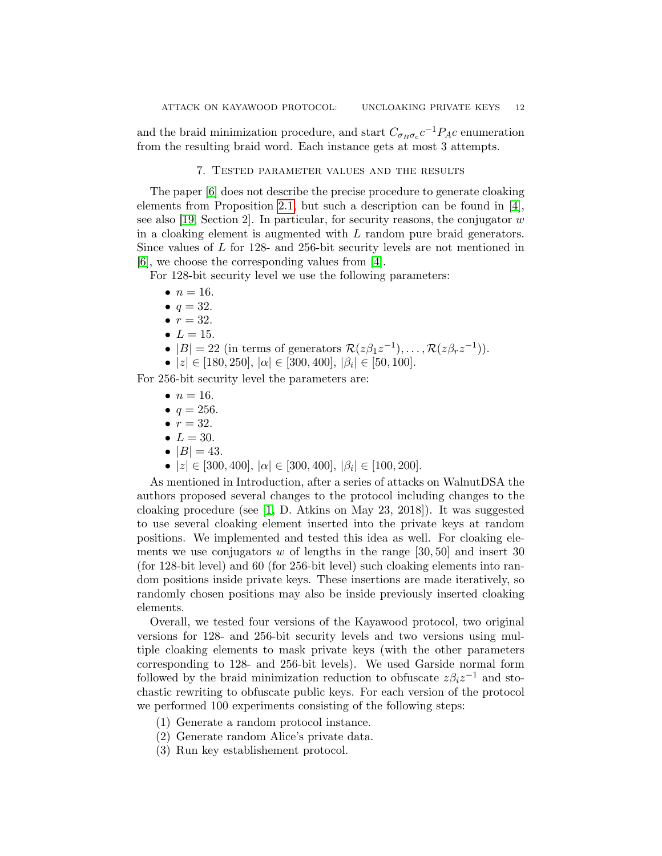and the braid minimization procedure, and start  $C_{\sigma_B \sigma_c} c^{-1} P_A c$  enumeration from the resulting braid word. Each instance gets at most 3 attempts.

### 7. Tested parameter values and the results

The paper [\[6\]](#page-14-8) does not describe the precise procedure to generate cloaking elements from Proposition [2.1,](#page-4-0) but such a description can be found in  $[4]$ , see also [\[19,](#page-14-11) Section 2]. In particular, for security reasons, the conjugator  $w$ in a cloaking element is augmented with  $L$  random pure braid generators. Since values of L for 128- and 256-bit security levels are not mentioned in [\[6\]](#page-14-8), we choose the corresponding values from [\[4\]](#page-14-18).

For 128-bit security level we use the following parameters:

- $n = 16$ .
- $q = 32$ .
- $r = 32$ .
- $L = 15$ .
- $|B| = 22$  (in terms of generators  $\mathcal{R}(z\beta_1 z^{-1}), \dots, \mathcal{R}(z\beta_r z^{-1}))$ ).
- $|z| \in [180, 250], |\alpha| \in [300, 400], |\beta_i| \in [50, 100].$

For 256-bit security level the parameters are:

- $n = 16$ .
- $q = 256$ .
- $r = 32$ .
- $L = 30$ .
- $|B| = 43$ .
- $|z| \in [300, 400], |\alpha| \in [300, 400], |\beta_i| \in [100, 200].$

As mentioned in Introduction, after a series of attacks on WalnutDSA the authors proposed several changes to the protocol including changes to the cloaking procedure (see [\[1,](#page-13-2) D. Atkins on May 23, 2018]). It was suggested to use several cloaking element inserted into the private keys at random positions. We implemented and tested this idea as well. For cloaking elements we use conjugators  $w$  of lengths in the range [30, 50] and insert 30 (for 128-bit level) and 60 (for 256-bit level) such cloaking elements into random positions inside private keys. These insertions are made iteratively, so randomly chosen positions may also be inside previously inserted cloaking elements.

Overall, we tested four versions of the Kayawood protocol, two original versions for 128- and 256-bit security levels and two versions using multiple cloaking elements to mask private keys (with the other parameters corresponding to 128- and 256-bit levels). We used Garside normal form followed by the braid minimization reduction to obfuscate  $z\beta_i z^{-1}$  and stochastic rewriting to obfuscate public keys. For each version of the protocol we performed 100 experiments consisting of the following steps:

- (1) Generate a random protocol instance.
- (2) Generate random Alice's private data.
- (3) Run key establishement protocol.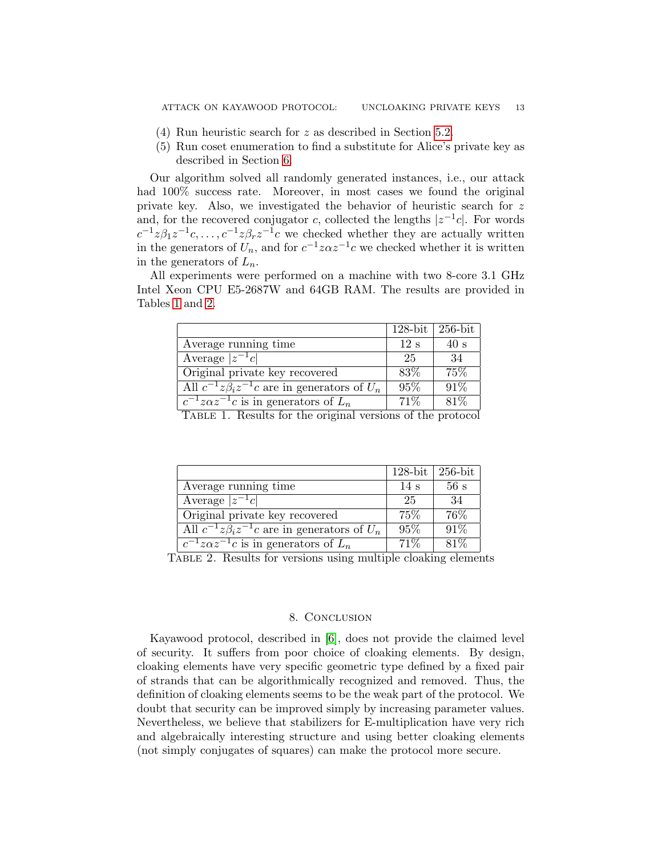- (4) Run heuristic search for z as described in Section [5.2.](#page-9-0)
- (5) Run coset enumeration to find a substitute for Alice's private key as described in Section [6.](#page-9-1)

Our algorithm solved all randomly generated instances, i.e., our attack had  $100\%$  success rate. Moreover, in most cases we found the original private key. Also, we investigated the behavior of heuristic search for z and, for the recovered conjugator c, collected the lengths  $|z^{-1}c|$ . For words  $c^{-1}z\beta_1z^{-1}c,\ldots,c^{-1}z\beta_rz^{-1}c$  we checked whether they are actually written in the generators of  $U_n$ , and for  $c^{-1}z\alpha z^{-1}c$  we checked whether it is written in the generators of  $L_n$ .

All experiments were performed on a machine with two 8-core 3.1 GHz Intel Xeon CPU E5-2687W and 64GB RAM. The results are provided in Tables [1](#page-12-0) and [2.](#page-12-1)

|                                                                                                                                 | $128$ -bit                    | $256$ -bit |
|---------------------------------------------------------------------------------------------------------------------------------|-------------------------------|------------|
| Average running time                                                                                                            | 12 s                          | 40 s       |
| Average $ z^{-1}c $                                                                                                             | 25                            | 34         |
| Original private key recovered                                                                                                  | 83\%                          | 75\%       |
| All $c^{-1}z\beta_i z^{-1}c$ are in generators of $U_n$                                                                         | 95%                           | 91%        |
| $c^{-1}z\alpha z^{-1}c$ is in generators of $L_n$<br>$\overline{a}$ $\overline{b}$ $\overline{1}$ $\overline{c}$ $\overline{1}$ | $71\%$<br>$\alpha$ , $\alpha$ | 81\%       |

<span id="page-12-0"></span>TABLE 1. Results for the original versions of the protocol

|                                                         | $128$ -bit | $256$ -bit |
|---------------------------------------------------------|------------|------------|
| Average running time                                    | 14 s       | 56s        |
| Average $ z^{-1}c $                                     | -25        | -34        |
| Original private key recovered                          | $75\%$     | 76%        |
| All $c^{-1}z\beta_i z^{-1}c$ are in generators of $U_n$ | $95\%$     | $91\%$     |
| $c^{-1}z\alpha z^{-1}c$ is in generators of $L_n$       | $71\%$     | 81\%       |

TABLE 2. Results for versions using multiple cloaking elements

### <span id="page-12-1"></span>8. Conclusion

Kayawood protocol, described in [\[6\]](#page-14-8), does not provide the claimed level of security. It suffers from poor choice of cloaking elements. By design, cloaking elements have very specific geometric type defined by a fixed pair of strands that can be algorithmically recognized and removed. Thus, the definition of cloaking elements seems to be the weak part of the protocol. We doubt that security can be improved simply by increasing parameter values. Nevertheless, we believe that stabilizers for E-multiplication have very rich and algebraically interesting structure and using better cloaking elements (not simply conjugates of squares) can make the protocol more secure.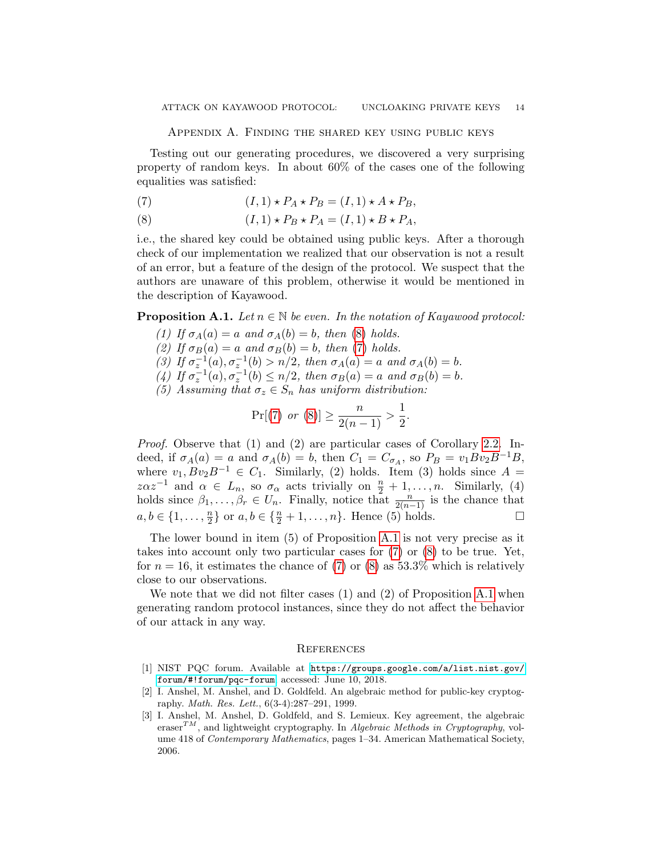Testing out our generating procedures, we discovered a very surprising property of random keys. In about 60% of the cases one of the following equalities was satisfied:

- <span id="page-13-4"></span>(7)  $(I, 1) \star P_A \star P_B = (I, 1) \star A \star P_B,$
- <span id="page-13-3"></span>(8)  $(I, 1) \star P_B \star P_A = (I, 1) \star B \star P_A,$

i.e., the shared key could be obtained using public keys. After a thorough check of our implementation we realized that our observation is not a result of an error, but a feature of the design of the protocol. We suspect that the authors are unaware of this problem, otherwise it would be mentioned in the description of Kayawood.

<span id="page-13-5"></span>**Proposition A.1.** Let  $n \in \mathbb{N}$  be even. In the notation of Kayawood protocol:

- (1) If  $\sigma_A(a) = a$  and  $\sigma_A(b) = b$ , then [\(8\)](#page-13-3) holds.
- (2) If  $\sigma_B(a) = a$  and  $\sigma_B(b) = b$ , then [\(7\)](#page-13-4) holds.
- (3) If  $\sigma_z^{-1}(a), \sigma_z^{-1}(b) > n/2$ , then  $\sigma_A(a) = a$  and  $\sigma_A(b) = b$ .
- (4) If  $\sigma_z^{-1}(a), \sigma_z^{-1}(b) \le n/2$ , then  $\sigma_B(a) = a$  and  $\sigma_B(b) = b$ .
- (5) Assuming that  $\sigma_z \in S_n$  has uniform distribution:

$$
\Pr[(7) \text{ or } (8)] \ge \frac{n}{2(n-1)} > \frac{1}{2}.
$$

Proof. Observe that (1) and (2) are particular cases of Corollary [2.2.](#page-4-3) Indeed, if  $\sigma_A(a) = a$  and  $\sigma_A(b) = b$ , then  $C_1 = C_{\sigma_A}$ , so  $P_B = v_1 B v_2 B^{-1} B$ , where  $v_1, Bv_2B^{-1} \in C_1$ . Similarly, (2) holds. Item (3) holds since  $A =$  $z\alpha z^{-1}$  and  $\alpha \in L_n$ , so  $\sigma_\alpha$  acts trivially on  $\frac{n}{2} + 1, \ldots, n$ . Similarly, (4) holds since  $\beta_1, \ldots, \beta_r \in U_n$ . Finally, notice that  $\frac{n}{2(n-1)}$  is the chance that  $a, b \in \{1, \ldots, \frac{n}{2}\}$  $\frac{n}{2}$  or  $a, b \in \{\frac{n}{2} + 1, \dots, n\}$ . Hence (5) holds.

The lower bound in item (5) of Proposition [A.1](#page-13-5) is not very precise as it takes into account only two particular cases for [\(7\)](#page-13-4) or [\(8\)](#page-13-3) to be true. Yet, for  $n = 16$ , it estimates the chance of [\(7\)](#page-13-4) or [\(8\)](#page-13-3) as 53.3% which is relatively close to our observations.

We note that we did not filter cases (1) and (2) of Proposition [A.1](#page-13-5) when generating random protocol instances, since they do not affect the behavior of our attack in any way.

### **REFERENCES**

- <span id="page-13-2"></span>[1] NIST PQC forum. Available at [https://groups.google.com/a/list.nist.gov/](https://groups.google.com/a/list.nist.gov/forum/#!forum/pqc-forum) [forum/#!forum/pqc-forum](https://groups.google.com/a/list.nist.gov/forum/#!forum/pqc-forum), accessed: June 10, 2018.
- <span id="page-13-0"></span>[2] I. Anshel, M. Anshel, and D. Goldfeld. An algebraic method for public-key cryptography. Math. Res. Lett., 6(3-4):287–291, 1999.
- <span id="page-13-1"></span>[3] I. Anshel, M. Anshel, D. Goldfeld, and S. Lemieux. Key agreement, the algebraic eraser<sup>TM</sup>, and lightweight cryptography. In Algebraic Methods in Cryptography, volume 418 of Contemporary Mathematics, pages 1–34. American Mathematical Society, 2006.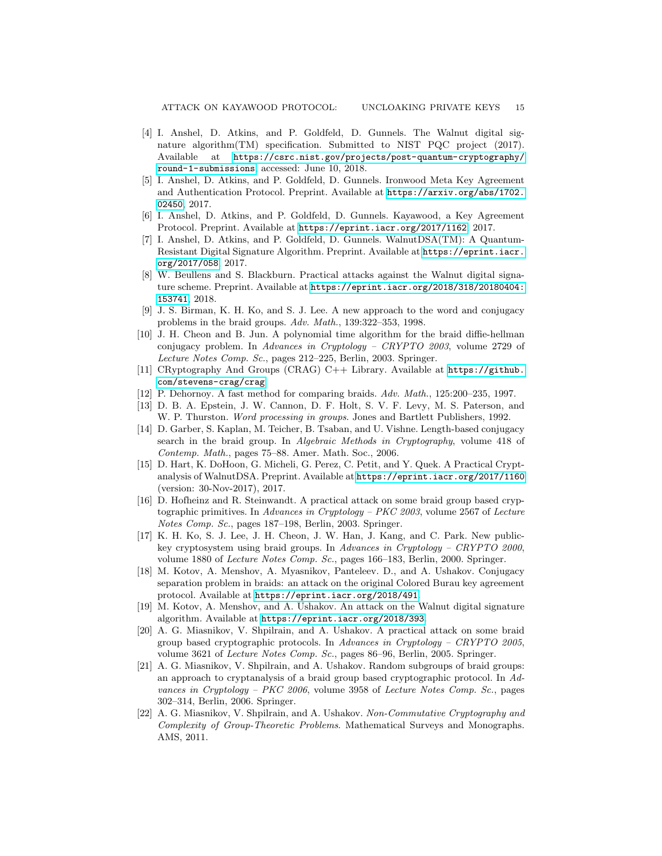- <span id="page-14-18"></span>[4] I. Anshel, D. Atkins, and P. Goldfeld, D. Gunnels. The Walnut digital signature algorithm(TM) specification. Submitted to NIST PQC project (2017). Available at [https://csrc.nist.gov/projects/post-quantum-cryptography/](https://csrc.nist.gov/projects/post-quantum-cryptography/round-1-submissions) [round-1-submissions](https://csrc.nist.gov/projects/post-quantum-cryptography/round-1-submissions), accessed: June 10, 2018.
- <span id="page-14-7"></span>[5] I. Anshel, D. Atkins, and P. Goldfeld, D. Gunnels. Ironwood Meta Key Agreement and Authentication Protocol. Preprint. Available at [https://arxiv.org/abs/1702.](https://arxiv.org/abs/1702.02450) [02450](https://arxiv.org/abs/1702.02450), 2017.
- <span id="page-14-8"></span>[6] I. Anshel, D. Atkins, and P. Goldfeld, D. Gunnels. Kayawood, a Key Agreement Protocol. Preprint. Available at <https://eprint.iacr.org/2017/1162>, 2017.
- <span id="page-14-6"></span>[7] I. Anshel, D. Atkins, and P. Goldfeld, D. Gunnels. WalnutDSA(TM): A Quantum-Resistant Digital Signature Algorithm. Preprint. Available at [https://eprint.iacr.](https://eprint.iacr.org/2017/058) [org/2017/058](https://eprint.iacr.org/2017/058), 2017.
- <span id="page-14-10"></span>[8] W. Beullens and S. Blackburn. Practical attacks against the Walnut digital signature scheme. Preprint. Available at [https://eprint.iacr.org/2018/318/20180404:](https://eprint.iacr.org/2018/318/20180404:153741) [153741](https://eprint.iacr.org/2018/318/20180404:153741), 2018.
- <span id="page-14-15"></span>[9] J. S. Birman, K. H. Ko, and S. J. Lee. A new approach to the word and conjugacy problems in the braid groups. Adv. Math., 139:322–353, 1998.
- <span id="page-14-1"></span>[10] J. H. Cheon and B. Jun. A polynomial time algorithm for the braid diffie-hellman conjugacy problem. In Advances in Cryptology – CRYPTO 2003, volume 2729 of Lecture Notes Comp. Sc., pages 212–225, Berlin, 2003. Springer.
- <span id="page-14-12"></span>[11] CRyptography And Groups (CRAG) C++ Library. Available at [https://github.](https://github.com/stevens-crag/crag) [com/stevens-crag/crag](https://github.com/stevens-crag/crag).
- <span id="page-14-14"></span>[12] P. Dehornoy. A fast method for comparing braids. Adv. Math., 125:200–235, 1997.
- <span id="page-14-16"></span>[13] D. B. A. Epstein, J. W. Cannon, D. F. Holt, S. V. F. Levy, M. S. Paterson, and W. P. Thurston. Word processing in groups. Jones and Bartlett Publishers, 1992.
- <span id="page-14-3"></span>[14] D. Garber, S. Kaplan, M. Teicher, B. Tsaban, and U. Vishne. Length-based conjugacy search in the braid group. In Algebraic Methods in Cryptography, volume 418 of Contemp. Math., pages 75–88. Amer. Math. Soc., 2006.
- <span id="page-14-9"></span>[15] D. Hart, K. DoHoon, G. Micheli, G. Perez, C. Petit, and Y. Quek. A Practical Cryptanalysis of WalnutDSA. Preprint. Available at <https://eprint.iacr.org/2017/1160> (version: 30-Nov-2017), 2017.
- <span id="page-14-2"></span>[16] D. Hofheinz and R. Steinwandt. A practical attack on some braid group based cryptographic primitives. In Advances in Cryptology – PKC 2003, volume 2567 of Lecture Notes Comp. Sc., pages 187–198, Berlin, 2003. Springer.
- <span id="page-14-0"></span>[17] K. H. Ko, S. J. Lee, J. H. Cheon, J. W. Han, J. Kang, and C. Park. New publickey cryptosystem using braid groups. In Advances in Cryptology – CRYPTO 2000, volume 1880 of Lecture Notes Comp. Sc., pages 166–183, Berlin, 2000. Springer.
- <span id="page-14-17"></span>[18] M. Kotov, A. Menshov, A. Myasnikov, Panteleev. D., and A. Ushakov. Conjugacy separation problem in braids: an attack on the original Colored Burau key agreement protocol. Available at <https://eprint.iacr.org/2018/491>.
- <span id="page-14-11"></span>[19] M. Kotov, A. Menshov, and A. Ushakov. An attack on the Walnut digital signature algorithm. Available at <https://eprint.iacr.org/2018/393>.
- <span id="page-14-4"></span>[20] A. G. Miasnikov, V. Shpilrain, and A. Ushakov. A practical attack on some braid group based cryptographic protocols. In Advances in Cryptology – CRYPTO 2005, volume 3621 of Lecture Notes Comp. Sc., pages 86–96, Berlin, 2005. Springer.
- <span id="page-14-5"></span>[21] A. G. Miasnikov, V. Shpilrain, and A. Ushakov. Random subgroups of braid groups: an approach to cryptanalysis of a braid group based cryptographic protocol. In Advances in Cryptology – PKC 2006, volume 3958 of Lecture Notes Comp. Sc., pages 302–314, Berlin, 2006. Springer.
- <span id="page-14-13"></span>[22] A. G. Miasnikov, V. Shpilrain, and A. Ushakov. Non-Commutative Cryptography and Complexity of Group-Theoretic Problems. Mathematical Surveys and Monographs. AMS, 2011.